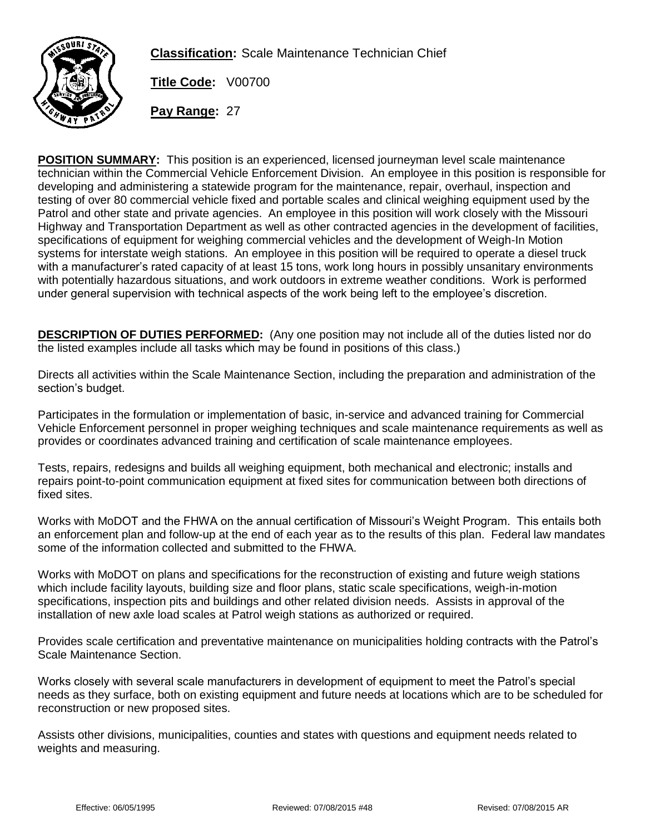

**Classification:** Scale Maintenance Technician Chief

**Title Code:** V00700

**Pay Range:** 27

**POSITION SUMMARY:** This position is an experienced, licensed journeyman level scale maintenance technician within the Commercial Vehicle Enforcement Division. An employee in this position is responsible for developing and administering a statewide program for the maintenance, repair, overhaul, inspection and testing of over 80 commercial vehicle fixed and portable scales and clinical weighing equipment used by the Patrol and other state and private agencies. An employee in this position will work closely with the Missouri Highway and Transportation Department as well as other contracted agencies in the development of facilities, specifications of equipment for weighing commercial vehicles and the development of Weigh-In Motion systems for interstate weigh stations. An employee in this position will be required to operate a diesel truck with a manufacturer's rated capacity of at least 15 tons, work long hours in possibly unsanitary environments with potentially hazardous situations, and work outdoors in extreme weather conditions. Work is performed under general supervision with technical aspects of the work being left to the employee's discretion.

**DESCRIPTION OF DUTIES PERFORMED:** (Any one position may not include all of the duties listed nor do the listed examples include all tasks which may be found in positions of this class.)

Directs all activities within the Scale Maintenance Section, including the preparation and administration of the section's budget.

Participates in the formulation or implementation of basic, in-service and advanced training for Commercial Vehicle Enforcement personnel in proper weighing techniques and scale maintenance requirements as well as provides or coordinates advanced training and certification of scale maintenance employees.

Tests, repairs, redesigns and builds all weighing equipment, both mechanical and electronic; installs and repairs point-to-point communication equipment at fixed sites for communication between both directions of fixed sites.

Works with MoDOT and the FHWA on the annual certification of Missouri's Weight Program. This entails both an enforcement plan and follow-up at the end of each year as to the results of this plan. Federal law mandates some of the information collected and submitted to the FHWA.

Works with MoDOT on plans and specifications for the reconstruction of existing and future weigh stations which include facility layouts, building size and floor plans, static scale specifications, weigh-in-motion specifications, inspection pits and buildings and other related division needs. Assists in approval of the installation of new axle load scales at Patrol weigh stations as authorized or required.

Provides scale certification and preventative maintenance on municipalities holding contracts with the Patrol's Scale Maintenance Section.

Works closely with several scale manufacturers in development of equipment to meet the Patrol's special needs as they surface, both on existing equipment and future needs at locations which are to be scheduled for reconstruction or new proposed sites.

Assists other divisions, municipalities, counties and states with questions and equipment needs related to weights and measuring.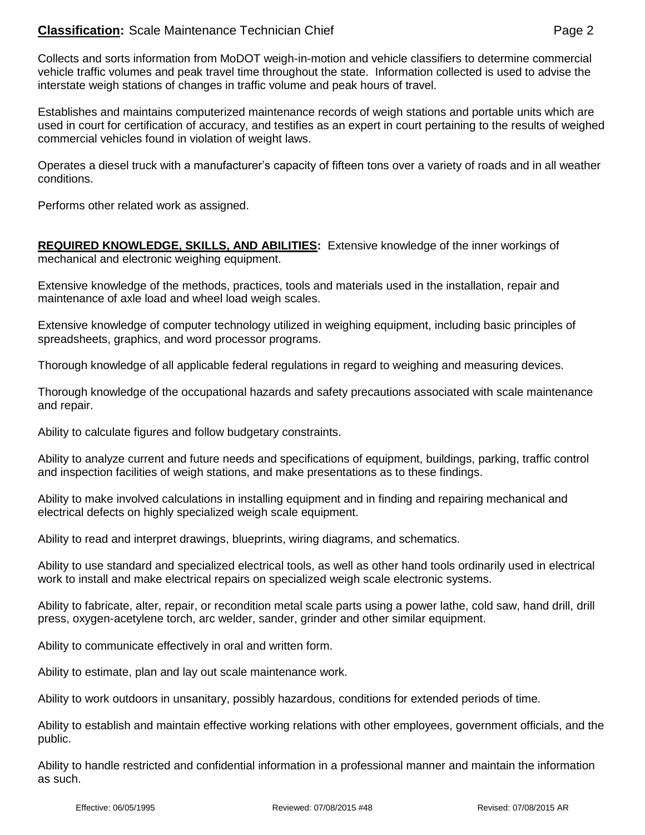## **Classification:** Scale Maintenance Technician Chief **Page 2** Allows 2

Collects and sorts information from MoDOT weigh-in-motion and vehicle classifiers to determine commercial vehicle traffic volumes and peak travel time throughout the state. Information collected is used to advise the interstate weigh stations of changes in traffic volume and peak hours of travel.

Establishes and maintains computerized maintenance records of weigh stations and portable units which are used in court for certification of accuracy, and testifies as an expert in court pertaining to the results of weighed commercial vehicles found in violation of weight laws.

Operates a diesel truck with a manufacturer's capacity of fifteen tons over a variety of roads and in all weather conditions.

Performs other related work as assigned.

**REQUIRED KNOWLEDGE, SKILLS, AND ABILITIES:** Extensive knowledge of the inner workings of mechanical and electronic weighing equipment.

Extensive knowledge of the methods, practices, tools and materials used in the installation, repair and maintenance of axle load and wheel load weigh scales.

Extensive knowledge of computer technology utilized in weighing equipment, including basic principles of spreadsheets, graphics, and word processor programs.

Thorough knowledge of all applicable federal regulations in regard to weighing and measuring devices.

Thorough knowledge of the occupational hazards and safety precautions associated with scale maintenance and repair.

Ability to calculate figures and follow budgetary constraints.

Ability to analyze current and future needs and specifications of equipment, buildings, parking, traffic control and inspection facilities of weigh stations, and make presentations as to these findings.

Ability to make involved calculations in installing equipment and in finding and repairing mechanical and electrical defects on highly specialized weigh scale equipment.

Ability to read and interpret drawings, blueprints, wiring diagrams, and schematics.

Ability to use standard and specialized electrical tools, as well as other hand tools ordinarily used in electrical work to install and make electrical repairs on specialized weigh scale electronic systems.

Ability to fabricate, alter, repair, or recondition metal scale parts using a power lathe, cold saw, hand drill, drill press, oxygen-acetylene torch, arc welder, sander, grinder and other similar equipment.

Ability to communicate effectively in oral and written form.

Ability to estimate, plan and lay out scale maintenance work.

Ability to work outdoors in unsanitary, possibly hazardous, conditions for extended periods of time.

Ability to establish and maintain effective working relations with other employees, government officials, and the public.

Ability to handle restricted and confidential information in a professional manner and maintain the information as such.